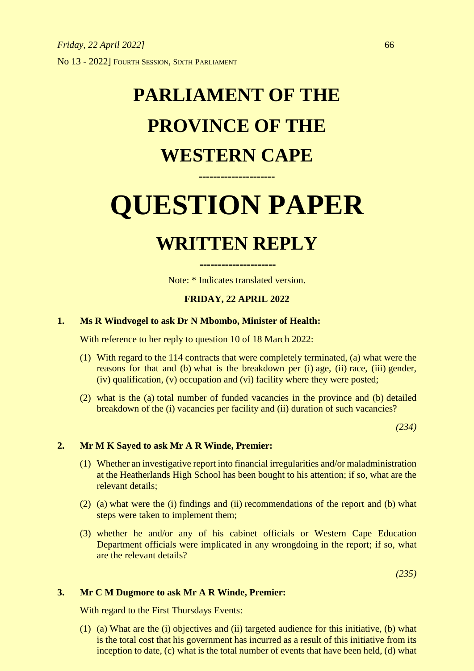## **PARLIAMENT OF THE PROVINCE OF THE WESTERN CAPE**

# **QUESTION PAPER**

**=====================**

### **WRITTEN REPLY**

**=====================** Note: \* Indicates translated version.

#### **FRIDAY, 22 APRIL 2022**

#### **1. Ms R Windvogel to ask Dr N Mbombo, Minister of Health:**

With reference to her reply to question 10 of 18 March 2022:

- (1) With regard to the 114 contracts that were completely terminated, (a) what were the reasons for that and (b) what is the breakdown per (i) age, (ii) race, (iii) gender, (iv) qualification, (v) occupation and (vi) facility where they were posted;
- (2) what is the (a) total number of funded vacancies in the province and (b) detailed breakdown of the (i) vacancies per facility and (ii) duration of such vacancies?

*(234)*

#### **2. Mr M K Sayed to ask Mr A R Winde, Premier:**

- (1) Whether an investigative report into financial irregularities and/or maladministration at the Heatherlands High School has been bought to his attention; if so, what are the relevant details;
- (2) (a) what were the (i) findings and (ii) recommendations of the report and (b) what steps were taken to implement them;
- (3) whether he and/or any of his cabinet officials or Western Cape Education Department officials were implicated in any wrongdoing in the report; if so, what are the relevant details?

*(235)*

#### **3. Mr C M Dugmore to ask Mr A R Winde, Premier:**

With regard to the First Thursdays Events:

(1) (a) What are the (i) objectives and (ii) targeted audience for this initiative, (b) what is the total cost that his government has incurred as a result of this initiative from its inception to date, (c) what is the total number of events that have been held, (d) what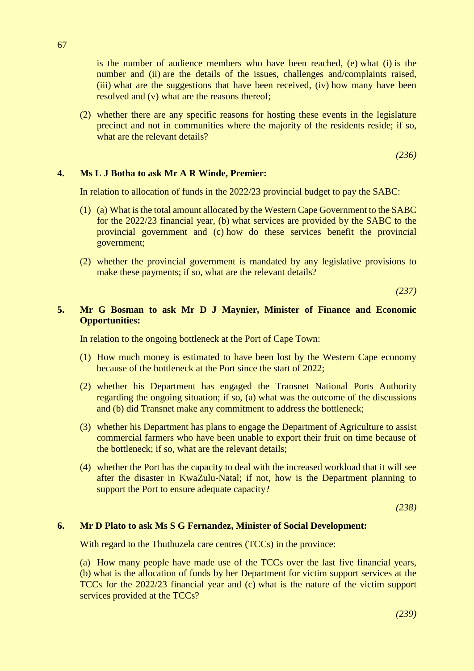is the number of audience members who have been reached, (e) what (i) is the number and (ii) are the details of the issues, challenges and/complaints raised, (iii) what are the suggestions that have been received, (iv) how many have been resolved and (v) what are the reasons thereof;

(2) whether there are any specific reasons for hosting these events in the legislature precinct and not in communities where the majority of the residents reside; if so, what are the relevant details?

*(236)*

#### **4. Ms L J Botha to ask Mr A R Winde, Premier:**

In relation to allocation of funds in the 2022/23 provincial budget to pay the SABC:

- (1) (a) What is the total amount allocated by the Western Cape Government to the SABC for the 2022/23 financial year, (b) what services are provided by the SABC to the provincial government and (c) how do these services benefit the provincial government;
- (2) whether the provincial government is mandated by any legislative provisions to make these payments; if so, what are the relevant details?

*(237)*

#### **5. Mr G Bosman to ask Mr D J Maynier, Minister of Finance and Economic Opportunities:**

In relation to the ongoing bottleneck at the Port of Cape Town:

- (1) How much money is estimated to have been lost by the Western Cape economy because of the bottleneck at the Port since the start of 2022;
- (2) whether his Department has engaged the Transnet National Ports Authority regarding the ongoing situation; if so, (a) what was the outcome of the discussions and (b) did Transnet make any commitment to address the bottleneck;
- (3) whether his Department has plans to engage the Department of Agriculture to assist commercial farmers who have been unable to export their fruit on time because of the bottleneck; if so, what are the relevant details;
- (4) whether the Port has the capacity to deal with the increased workload that it will see after the disaster in KwaZulu-Natal; if not, how is the Department planning to support the Port to ensure adequate capacity?

*(238)*

#### **6. Mr D Plato to ask Ms S G Fernandez, Minister of Social Development:**

With regard to the Thuthuzela care centres (TCCs) in the province:

(a) How many people have made use of the TCCs over the last five financial years, (b) what is the allocation of funds by her Department for victim support services at the TCCs for the 2022/23 financial year and (c) what is the nature of the victim support services provided at the TCCs?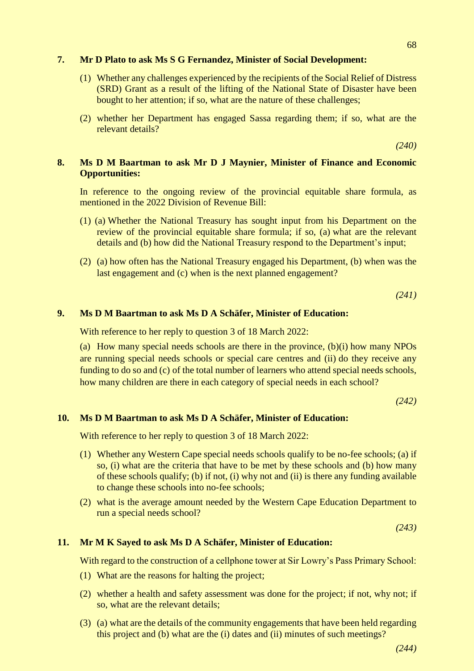#### **7. Mr D Plato to ask Ms S G Fernandez, Minister of Social Development:**

- (1) Whether any challenges experienced by the recipients of the Social Relief of Distress (SRD) Grant as a result of the lifting of the National State of Disaster have been bought to her attention; if so, what are the nature of these challenges;
- (2) whether her Department has engaged Sassa regarding them; if so, what are the relevant details?

*(240)*

#### **8. Ms D M Baartman to ask Mr D J Maynier, Minister of Finance and Economic Opportunities:**

In reference to the ongoing review of the provincial equitable share formula, as mentioned in the 2022 Division of Revenue Bill:

- (1) (a) Whether the National Treasury has sought input from his Department on the review of the provincial equitable share formula; if so, (a) what are the relevant details and (b) how did the National Treasury respond to the Department's input;
- (2) (a) how often has the National Treasury engaged his Department, (b) when was the last engagement and (c) when is the next planned engagement?

*(241)*

#### **9. Ms D M Baartman to ask Ms D A Schäfer, Minister of Education:**

With reference to her reply to question 3 of 18 March 2022:

(a) How many special needs schools are there in the province, (b)(i) how many NPOs are running special needs schools or special care centres and (ii) do they receive any funding to do so and (c) of the total number of learners who attend special needs schools, how many children are there in each category of special needs in each school?

*(242)*

#### **10. Ms D M Baartman to ask Ms D A Schäfer, Minister of Education:**

With reference to her reply to question 3 of 18 March 2022:

- (1) Whether any Western Cape special needs schools qualify to be no-fee schools; (a) if so, (i) what are the criteria that have to be met by these schools and (b) how many of these schools qualify; (b) if not, (i) why not and (ii) is there any funding available to change these schools into no-fee schools;
- (2) what is the average amount needed by the Western Cape Education Department to run a special needs school?

*(243)*

#### **11. Mr M K Sayed to ask Ms D A Schäfer, Minister of Education:**

With regard to the construction of a cellphone tower at Sir Lowry's Pass Primary School:

- (1) What are the reasons for halting the project;
- (2) whether a health and safety assessment was done for the project; if not, why not; if so, what are the relevant details;
- (3) (a) what are the details of the community engagements that have been held regarding this project and (b) what are the (i) dates and (ii) minutes of such meetings?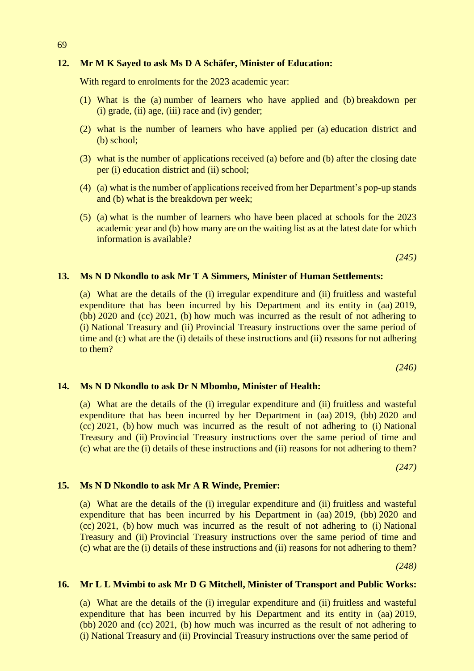#### **12. Mr M K Sayed to ask Ms D A Schäfer, Minister of Education:**

With regard to enrolments for the 2023 academic year:

- (1) What is the (a) number of learners who have applied and (b) breakdown per  $(i)$  grade,  $(ii)$  age,  $(iii)$  race and  $(iv)$  gender;
- (2) what is the number of learners who have applied per (a) education district and (b) school;
- (3) what is the number of applications received (a) before and (b) after the closing date per (i) education district and (ii) school;
- (4) (a) what is the number of applications received from her Department's pop-up stands and (b) what is the breakdown per week;
- (5) (a) what is the number of learners who have been placed at schools for the 2023 academic year and (b) how many are on the waiting list as at the latest date for which information is available?

*(245)*

#### **13. Ms N D Nkondlo to ask Mr T A Simmers, Minister of Human Settlements:**

(a) What are the details of the (i) irregular expenditure and (ii) fruitless and wasteful expenditure that has been incurred by his Department and its entity in (aa) 2019, (bb) 2020 and (cc) 2021, (b) how much was incurred as the result of not adhering to (i) National Treasury and (ii) Provincial Treasury instructions over the same period of time and (c) what are the (i) details of these instructions and (ii) reasons for not adhering to them?

*(246)*

#### **14. Ms N D Nkondlo to ask Dr N Mbombo, Minister of Health:**

(a) What are the details of the (i) irregular expenditure and (ii) fruitless and wasteful expenditure that has been incurred by her Department in (aa) 2019, (bb) 2020 and (cc) 2021, (b) how much was incurred as the result of not adhering to (i) National Treasury and (ii) Provincial Treasury instructions over the same period of time and (c) what are the (i) details of these instructions and (ii) reasons for not adhering to them?

*(247)*

#### **15. Ms N D Nkondlo to ask Mr A R Winde, Premier:**

(a) What are the details of the (i) irregular expenditure and (ii) fruitless and wasteful expenditure that has been incurred by his Department in (aa) 2019, (bb) 2020 and (cc) 2021, (b) how much was incurred as the result of not adhering to (i) National Treasury and (ii) Provincial Treasury instructions over the same period of time and (c) what are the (i) details of these instructions and (ii) reasons for not adhering to them?

*(248)*

#### **16. Mr L L Mvimbi to ask Mr D G Mitchell, Minister of Transport and Public Works:**

(a) What are the details of the (i) irregular expenditure and (ii) fruitless and wasteful expenditure that has been incurred by his Department and its entity in (aa) 2019, (bb) 2020 and (cc) 2021, (b) how much was incurred as the result of not adhering to (i) National Treasury and (ii) Provincial Treasury instructions over the same period of